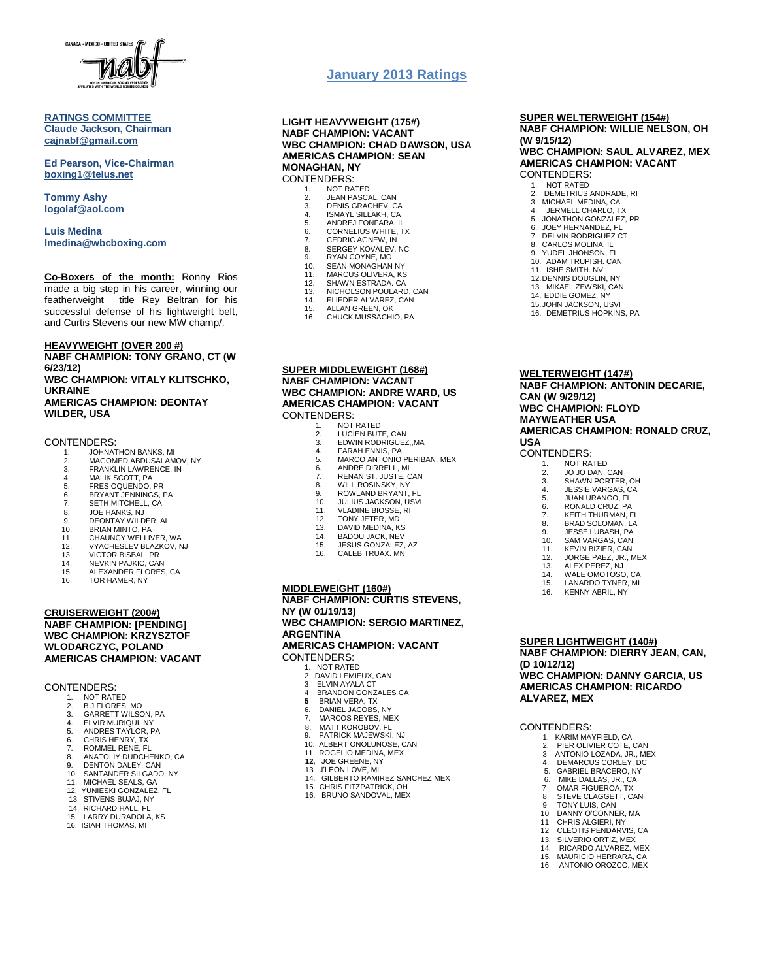

#### **RATINGS COMMITTEE Claude Jackson, Chairman [cajnabf@gmail.com](mailto:cajnabf@gmail.com)**

**Ed Pearson, Vice-Chairman boxing1@telus.net**

**Tommy Ashy [logolaf@aol.com](mailto:logolaf@aol.com)**

**Luis Medina [lmedina@wbcboxing.com](mailto:lmedina@wbcboxing.com)**

**Co-Boxers of the month:** Ronny Rios made a big step in his career, winning our featherweight title Rey Beltran for his successful defense of his lightweight belt, and Curtis Stevens our new MW champ/.

**HEAVYWEIGHT (OVER 200 #) NABF CHAMPION: TONY GRANO, CT (W 6/23/12)** 

**WBC CHAMPION: VITALY KLITSCHKO, UKRAINE AMERICAS CHAMPION: DEONTAY WILDER, USA**

#### CONTENDERS:

- 1. JOHNATHON BANKS, MI<br>2. MAGOMED ABDUSALAM
- 2. MAGOMED ABDUSALAMOV, NY<br>3. FRANKLIN LAWRENCE, IN
- FRANKLIN LAWRENCE, IN
- 4. MALIK SCOTT, PA<br>5. FRES OQUENDO,
- 5. FRES OQUENDO, PR 6. BRYANT JENNINGS, PA
- 3. BRYANT BENNINGS,<br>7. SETH MITCHELL, CA<br>8. JOE HANKS, NJ
- 
- 8. JOE HANKS, NJ 9. DEONTAY WILDER, AL
- 
- 10. BRIAN MINTO, PA 11. CHAUNCY WELLIVER, WA
- 11. SHAGHOT MELENEN, WA<br>12. VYACHESLEV BLAZKOV, NJ<br>13. VICTOR BISBAL, PR
- 
- 13. VICTOR BISBAL, PR 14. NEVKIN PAJKIC, CAN 15. ALEXANDER FLORES, CA
- 16. TOR HAMER, NY
- 

#### **CRUISERWEIGHT (200#) NABF CHAMPION: [PENDING] WBC CHAMPION: KRZYSZTOF WLODARCZYC, POLAND AMERICAS CHAMPION: VACANT**

CONTENDERS:

- 1. NOT RATED<br>2 B J FLORES
- 2. B J FLORES, MO 3. GARRETT WILSON, PA
- 
- 3. BANKETT MESSA,<br>4. ELVIR MURIQUI, NY<br>5. ANDRES TAYLOR. P
- 5. ANDRES TAYLOR, PA 6. CHRIS HENRY, TX
- 7. ROMMEL RENE, FL
- 8. ANATOLIY DUDCHENKO, CA<br>9. DENTON DALEY. CAN
- 9. DENTON DALEY, CAN<br>10. SANTANDER SILGADO
- SANTANDER SILGADO, NY
- 11. MICHAEL SEALS, GA<br>12. YUNIESKI GONZALEZ 12. YUNIESKI GONZALEZ, FL
- 13 STIVENS BUJAJ, NY
- 14. RICHARD HALL, FL
- LARRY DURADOLA, KS
- 16. ISIAH THOMAS, MI

## **January 2013 Ratings**

#### **LIGHT HEAVYWEIGHT (175#) NABF CHAMPION: VACANT WBC CHAMPION: CHAD DAWSON, USA AMERICAS CHAMPION: SEAN MONAGHAN, NY** CONTENDERS:

- 1. NOT RATED<br>2 JEAN PASCA 2. JEAN PASCAL, CAN<br>3. DENIS GRACHEV, C.
- 3. DENIS GRACHEV, CA<br>4. ISMAYI SILLAKH CA
- 4. ISMAYL SILLAKH, CA<br>5. ANDREJ FONFARA. II
- 5. ANDREJ FONFARA, IL<br>6. CORNELIUS WHITE, T 6. CORNELIUS WHITE, TX
- 7. CEDRIC AGNEW, IN<br>8. SERGEY KOVALEV.
- 8. SERGEY KOVALEV, NC<br>9. RYAN COYNE MO
- 9. RYAN COYNE, MO 10. SEAN MONAGHAN NY
- 
- 11. MARCUS OLIVERA, KS
- 12. SHAWN ESTRADA. CA 13. NICHOLSON POULARD, CAN
- 14. ELIEDER ALVAREZ, CAN
- 15. ALLAN GREEN, OK<br>16. CHUCK MUSSACHI
- CHUCK MUSSACHIO, PA
- **SUPER MIDDLEWEIGHT (168#) NABF CHAMPION: VACANT WBC CHAMPION: ANDRE WARD, US AMERICAS CHAMPION: VACANT** CONTENDERS:
	- 1. NOT RATED<br>2 LUCIEN BUT
	- 2. LUCIEN BUTE, CAN 3. EDWIN RODRIGUEZ,,MA
	-
	- 4. FARAH ENNIS, PA<br>5. MARCO ANTONIO PERIBAN, MEX
	-
	- 6. ANDRE DIRRELL, MI<br>7. RENAN ST. JUSTE. C RENAN ST. JUSTE, CAN
	-
	- 8. WILL ROSINSKY, NY<br>9. ROWLAND BRYANT, 9. ROWLAND BRYANT, FL<br>10 JULIUS JACKSON USV
	- 10. JULIUS JACKSON, USVI 11. VLADINE BIOSSE, RI
	-
	- 12. TONY JETER, MD<br>13. DAVID MEDINA, K
	- 13. DAVID MEDINA, KS<br>14. BADOU JACK. NEV
	- 14. BADOU JACK, NEV<br>15. JESUS GONZALEZ 15. JESUS GONZALEZ, AZ
	- 16. CALEB TRUAX. MN

# . **MIDDLEWEIGHT (160#)**

**NABF CHAMPION: CURTIS STEVENS, NY (W 01/19/13) WBC CHAMPION: SERGIO MARTINEZ, ARGENTINA AMERICAS CHAMPION: VACANT**

CONTENDERS:

- 1. NOT RATED<br>2. DAVID LEMIE
- 2 DAVID LEMIEUX, CAN 3 ELVIN AYALA CT
- 4 BRANDON GONZALES CA
- **5** BRIAN VERA, TX 6. DANIEL JACOBS, NY
- 
- 7. MARCOS REYES, MEX 8. MATT KOROBOV, FL
	- 9. PATRICK MAJEWSKI, NJ<br>10. ALBERT ONOLUNOSE, C
	- 10. ALBERT ONOLUNOSE, CAN 11 ROGELIO MEDINA, MEX
	-
	- **12,** JOE GREENE, NY 13 J'LEON LOVE, MI
	-
	- 14. GILBERTO RAMIREZ SANCHEZ MEX<br>15. CHRIS FITZPATRICK, OH CHRIS FITZPATRICK, OH
	- 16. BRUNO SANDOVAL, MEX
- 6. MIKE DALLAS, JR., CA 7 OMAR FIGUEROA, TX 8 STEVE CLAGGETT, CAN
- 9 TONY LUIS, CAN 10 DANNY O'CONNER, MA

1. KARIM MAYFIELD, CA<br>2. PIER OLIVIER COTE. 2. PIER OLIVIER COTE, CAN 3 ANTONIO LOZADA, JR., MEX<br>4. DEMARCUS CORLEY, DC 4, DEMARCUS CORLEY, DC<br>5. GABRIEL BRACERO, NY 5. GABRIEL BRACERO, NY

**SUPER LIGHTWEIGHT (140#)**

**(D 10/12/12)**

**ALVAREZ, MEX**

CONTENDERS:

**NABF CHAMPION: DIERRY JEAN, CAN,** 

**WBC CHAMPION: DANNY GARCIA, US AMERICAS CHAMPION: RICARDO** 

- 
- 11 CHRIS ALGIERI, NY 12 CLEOTIS PENDARVIS, CA
	- 13. SILVERIO ORTIZ, MEX<br>14. RICARDO ALVAREZ. N
	- 14. RICARDO ALVAREZ, MEX<br>15. MAURICIO HERRARA CA
	- 15. MAURICIO HERRARA, CA<br>16. ANTONIO OROZCO, MEX
	- 16 ANTONIO OROZCO, MEX

**WELTERWEIGHT (147#) NABF CHAMPION: ANTONIN DECARIE, CAN (W 9/29/12)**

**SUPER WELTERWEIGHT (154#) NABF CHAMPION: WILLIE NELSON, OH** 

2. DEMETRIUS ANDRADE, RI<br>3. MICHAEL MEDINA, CA 3. MICHAEL MEDINA, CA<br>4. JERMELL CHARLO. T 4. JERMELL CHARLO, TX 5. JONATHON GONZALEZ, PR 6. JOEY HERNANDEZ, FL **7. DELVIN RODRIGUEZ CT<br>8. CARLOS MOLINA. IL** CARLOS MOLINA, IL 9. YUDEL JHONSON, FL 10. ADAM TRUPISH. CAN 11. ISHE SMITH. NV 12.DENNIS DOUGLIN, NY 13. MIKAEL ZEWSKI, CAN 14. EDDIE GOMEZ, NY 15.JOHN JACKSON, USVI 16. DEMETRIUS HOPKINS, PA

**WBC CHAMPION: SAUL ALVAREZ, MEX AMERICAS CHAMPION: VACANT**

**(W 9/15/12)**

CONTENDERS: 1. NOT RATED

#### **WBC CHAMPION: FLOYD MAYWEATHER USA**

1. NOT RATED<br>2 JOJO DAN 2. JO JO DAN, CAN 3. SHAWN PORTER, OH 4. JESSIE VARGAS, CA 5. JUAN URANGO, FL 6. RONALD CRUZ, PA 7. KEITH THURMAN, FL 8. BRAD SOLOMAN, LA 9. JESSE LUBASH, PA 10. SAM VARGAS, CAN 11. KEVIN BIZIER, CAN<br>12. JORGE PAEZ, JR., N 12. JORGE PAEZ, JR., MEX 13. ALEX PEREZ, NJ 14. WALE OMOTOSO, CA 15. LANARDO TYNER, MI 16. KENNY ABRIL, NY

**AMERICAS CHAMPION: RONALD CRUZ, USA**

### CONTENDERS: